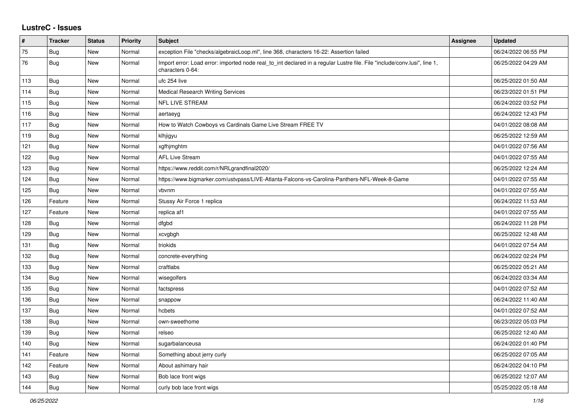## **LustreC - Issues**

| #   | <b>Tracker</b> | <b>Status</b> | <b>Priority</b> | <b>Subject</b>                                                                                                                               | Assignee | <b>Updated</b>      |
|-----|----------------|---------------|-----------------|----------------------------------------------------------------------------------------------------------------------------------------------|----------|---------------------|
| 75  | Bug            | <b>New</b>    | Normal          | exception File "checks/algebraicLoop.ml", line 368, characters 16-22: Assertion failed                                                       |          | 06/24/2022 06:55 PM |
| 76  | Bug            | <b>New</b>    | Normal          | Import error: Load error: imported node real_to_int declared in a regular Lustre file. File "include/conv.lusi", line 1,<br>characters 0-64: |          | 06/25/2022 04:29 AM |
| 113 | Bug            | <b>New</b>    | Normal          | ufc 254 live                                                                                                                                 |          | 06/25/2022 01:50 AM |
| 114 | Bug            | <b>New</b>    | Normal          | <b>Medical Research Writing Services</b>                                                                                                     |          | 06/23/2022 01:51 PM |
| 115 | Bug            | <b>New</b>    | Normal          | <b>NFL LIVE STREAM</b>                                                                                                                       |          | 06/24/2022 03:52 PM |
| 116 | <b>Bug</b>     | <b>New</b>    | Normal          | aertaeyg                                                                                                                                     |          | 06/24/2022 12:43 PM |
| 117 | Bug            | <b>New</b>    | Normal          | How to Watch Cowboys vs Cardinals Game Live Stream FREE TV                                                                                   |          | 04/01/2022 08:08 AM |
| 119 | Bug            | <b>New</b>    | Normal          | klhjigyu                                                                                                                                     |          | 06/25/2022 12:59 AM |
| 121 | Bug            | <b>New</b>    | Normal          | xgfhjmghtm                                                                                                                                   |          | 04/01/2022 07:56 AM |
| 122 | Bug            | <b>New</b>    | Normal          | <b>AFL Live Stream</b>                                                                                                                       |          | 04/01/2022 07:55 AM |
| 123 | Bug            | <b>New</b>    | Normal          | https://www.reddit.com/r/NRLgrandfinal2020/                                                                                                  |          | 06/25/2022 12:24 AM |
| 124 | Bug            | <b>New</b>    | Normal          | https://www.bigmarker.com/ustvpass/LIVE-Atlanta-Falcons-vs-Carolina-Panthers-NFL-Week-8-Game                                                 |          | 04/01/2022 07:55 AM |
| 125 | Bug            | <b>New</b>    | Normal          | vbvnm                                                                                                                                        |          | 04/01/2022 07:55 AM |
| 126 | Feature        | <b>New</b>    | Normal          | Stussy Air Force 1 replica                                                                                                                   |          | 06/24/2022 11:53 AM |
| 127 | Feature        | <b>New</b>    | Normal          | replica af1                                                                                                                                  |          | 04/01/2022 07:55 AM |
| 128 | Bug            | <b>New</b>    | Normal          | dfgbd                                                                                                                                        |          | 06/24/2022 11:28 PM |
| 129 | Bug            | <b>New</b>    | Normal          | xcvgbgh                                                                                                                                      |          | 06/25/2022 12:48 AM |
| 131 | Bug            | <b>New</b>    | Normal          | triokids                                                                                                                                     |          | 04/01/2022 07:54 AM |
| 132 | Bug            | <b>New</b>    | Normal          | concrete-everything                                                                                                                          |          | 06/24/2022 02:24 PM |
| 133 | Bug            | <b>New</b>    | Normal          | craftlabs                                                                                                                                    |          | 06/25/2022 05:21 AM |
| 134 | Bug            | <b>New</b>    | Normal          | wisegolfers                                                                                                                                  |          | 06/24/2022 03:34 AM |
| 135 | Bug            | <b>New</b>    | Normal          | factspress                                                                                                                                   |          | 04/01/2022 07:52 AM |
| 136 | Bug            | <b>New</b>    | Normal          | snappow                                                                                                                                      |          | 06/24/2022 11:40 AM |
| 137 | Bug            | <b>New</b>    | Normal          | hcbets                                                                                                                                       |          | 04/01/2022 07:52 AM |
| 138 | Bug            | <b>New</b>    | Normal          | own-sweethome                                                                                                                                |          | 06/23/2022 05:03 PM |
| 139 | <b>Bug</b>     | <b>New</b>    | Normal          | relseo                                                                                                                                       |          | 06/25/2022 12:40 AM |
| 140 | Bug            | <b>New</b>    | Normal          | sugarbalanceusa                                                                                                                              |          | 06/24/2022 01:40 PM |
| 141 | Feature        | <b>New</b>    | Normal          | Something about jerry curly                                                                                                                  |          | 06/25/2022 07:05 AM |
| 142 | Feature        | <b>New</b>    | Normal          | About ashimary hair                                                                                                                          |          | 06/24/2022 04:10 PM |
| 143 | Bug            | <b>New</b>    | Normal          | Bob lace front wigs                                                                                                                          |          | 06/25/2022 12:07 AM |
| 144 | Bug            | <b>New</b>    | Normal          | curly bob lace front wigs                                                                                                                    |          | 05/25/2022 05:18 AM |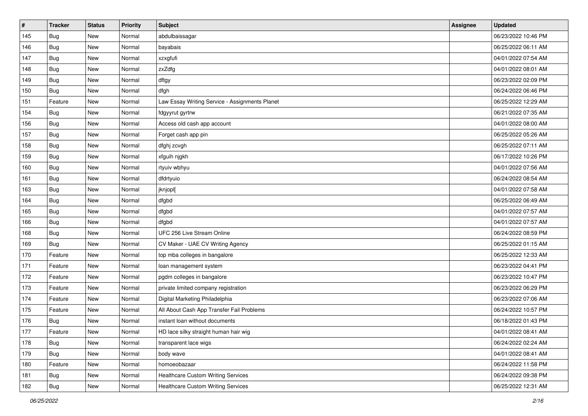| $\vert$ # | <b>Tracker</b> | <b>Status</b> | Priority | Subject                                        | <b>Assignee</b> | <b>Updated</b>      |
|-----------|----------------|---------------|----------|------------------------------------------------|-----------------|---------------------|
| 145       | Bug            | New           | Normal   | abdulbaissagar                                 |                 | 06/23/2022 10:46 PM |
| 146       | Bug            | <b>New</b>    | Normal   | bayabais                                       |                 | 06/25/2022 06:11 AM |
| 147       | <b>Bug</b>     | <b>New</b>    | Normal   | xzxgfufi                                       |                 | 04/01/2022 07:54 AM |
| 148       | Bug            | <b>New</b>    | Normal   | zxZdfg                                         |                 | 04/01/2022 08:01 AM |
| 149       | Bug            | <b>New</b>    | Normal   | dftgy                                          |                 | 06/23/2022 02:09 PM |
| 150       | Bug            | <b>New</b>    | Normal   | dfgh                                           |                 | 06/24/2022 06:46 PM |
| 151       | Feature        | <b>New</b>    | Normal   | Law Essay Writing Service - Assignments Planet |                 | 06/25/2022 12:29 AM |
| 154       | Bug            | <b>New</b>    | Normal   | fdgyyrut gyrtrw                                |                 | 06/21/2022 07:35 AM |
| 156       | Bug            | <b>New</b>    | Normal   | Access old cash app account                    |                 | 04/01/2022 08:00 AM |
| 157       | Bug            | <b>New</b>    | Normal   | Forget cash app pin                            |                 | 06/25/2022 05:26 AM |
| 158       | Bug            | <b>New</b>    | Normal   | dfghj zcvgh                                    |                 | 06/25/2022 07:11 AM |
| 159       | Bug            | <b>New</b>    | Normal   | xfguih njgkh                                   |                 | 06/17/2022 10:26 PM |
| 160       | <b>Bug</b>     | <b>New</b>    | Normal   | rtyuiv wbhyu                                   |                 | 04/01/2022 07:56 AM |
| 161       | <b>Bug</b>     | <b>New</b>    | Normal   | dfdrtyuio                                      |                 | 06/24/2022 08:54 AM |
| 163       | Bug            | <b>New</b>    | Normal   | jknjopl[                                       |                 | 04/01/2022 07:58 AM |
| 164       | Bug            | <b>New</b>    | Normal   | dfgbd                                          |                 | 06/25/2022 06:49 AM |
| 165       | Bug            | <b>New</b>    | Normal   | dfgbd                                          |                 | 04/01/2022 07:57 AM |
| 166       | Bug            | <b>New</b>    | Normal   | dfgbd                                          |                 | 04/01/2022 07:57 AM |
| 168       | Bug            | <b>New</b>    | Normal   | UFC 256 Live Stream Online                     |                 | 06/24/2022 08:59 PM |
| 169       | Bug            | <b>New</b>    | Normal   | CV Maker - UAE CV Writing Agency               |                 | 06/25/2022 01:15 AM |
| 170       | Feature        | <b>New</b>    | Normal   | top mba colleges in bangalore                  |                 | 06/25/2022 12:33 AM |
| 171       | Feature        | <b>New</b>    | Normal   | loan management system                         |                 | 06/23/2022 04:41 PM |
| 172       | Feature        | <b>New</b>    | Normal   | pgdm colleges in bangalore                     |                 | 06/23/2022 10:47 PM |
| 173       | Feature        | <b>New</b>    | Normal   | private limited company registration           |                 | 06/23/2022 06:29 PM |
| 174       | Feature        | <b>New</b>    | Normal   | Digital Marketing Philadelphia                 |                 | 06/23/2022 07:06 AM |
| 175       | Feature        | <b>New</b>    | Normal   | All About Cash App Transfer Fail Problems      |                 | 06/24/2022 10:57 PM |
| 176       | Bug            | <b>New</b>    | Normal   | instant loan without documents                 |                 | 06/18/2022 01:43 PM |
| 177       | Feature        | New           | Normal   | HD lace silky straight human hair wig          |                 | 04/01/2022 08:41 AM |
| 178       | Bug            | New           | Normal   | transparent lace wigs                          |                 | 06/24/2022 02:24 AM |
| 179       | Bug            | New           | Normal   | body wave                                      |                 | 04/01/2022 08:41 AM |
| 180       | Feature        | New           | Normal   | homoeobazaar                                   |                 | 06/24/2022 11:58 PM |
| 181       | <b>Bug</b>     | New           | Normal   | <b>Healthcare Custom Writing Services</b>      |                 | 06/24/2022 09:38 PM |
| 182       | <b>Bug</b>     | New           | Normal   | Healthcare Custom Writing Services             |                 | 06/25/2022 12:31 AM |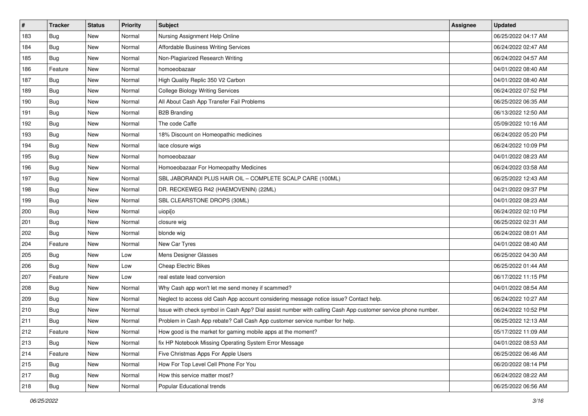| $\pmb{\#}$ | Tracker    | <b>Status</b> | <b>Priority</b> | Subject                                                                                                      | Assignee | <b>Updated</b>      |
|------------|------------|---------------|-----------------|--------------------------------------------------------------------------------------------------------------|----------|---------------------|
| 183        | Bug        | New           | Normal          | Nursing Assignment Help Online                                                                               |          | 06/25/2022 04:17 AM |
| 184        | <b>Bug</b> | <b>New</b>    | Normal          | Affordable Business Writing Services                                                                         |          | 06/24/2022 02:47 AM |
| 185        | Bug        | New           | Normal          | Non-Plagiarized Research Writing                                                                             |          | 06/24/2022 04:57 AM |
| 186        | Feature    | New           | Normal          | homoeobazaar                                                                                                 |          | 04/01/2022 08:40 AM |
| 187        | <b>Bug</b> | <b>New</b>    | Normal          | High Quality Replic 350 V2 Carbon                                                                            |          | 04/01/2022 08:40 AM |
| 189        | <b>Bug</b> | New           | Normal          | <b>College Biology Writing Services</b>                                                                      |          | 06/24/2022 07:52 PM |
| 190        | Bug        | New           | Normal          | All About Cash App Transfer Fail Problems                                                                    |          | 06/25/2022 06:35 AM |
| 191        | <b>Bug</b> | New           | Normal          | <b>B2B Branding</b>                                                                                          |          | 06/13/2022 12:50 AM |
| 192        | <b>Bug</b> | New           | Normal          | The code Caffe                                                                                               |          | 05/09/2022 10:16 AM |
| 193        | Bug        | <b>New</b>    | Normal          | 18% Discount on Homeopathic medicines                                                                        |          | 06/24/2022 05:20 PM |
| 194        | <b>Bug</b> | New           | Normal          | lace closure wigs                                                                                            |          | 06/24/2022 10:09 PM |
| 195        | <b>Bug</b> | New           | Normal          | homoeobazaar                                                                                                 |          | 04/01/2022 08:23 AM |
| 196        | <b>Bug</b> | New           | Normal          | Homoeobazaar For Homeopathy Medicines                                                                        |          | 06/24/2022 03:58 AM |
| 197        | <b>Bug</b> | New           | Normal          | SBL JABORANDI PLUS HAIR OIL - COMPLETE SCALP CARE (100ML)                                                    |          | 06/25/2022 12:43 AM |
| 198        | Bug        | <b>New</b>    | Normal          | DR. RECKEWEG R42 (HAEMOVENIN) (22ML)                                                                         |          | 04/21/2022 09:37 PM |
| 199        | Bug        | New           | Normal          | SBL CLEARSTONE DROPS (30ML)                                                                                  |          | 04/01/2022 08:23 AM |
| 200        | <b>Bug</b> | New           | Normal          | uiopi[o                                                                                                      |          | 06/24/2022 02:10 PM |
| 201        | Bug        | <b>New</b>    | Normal          | closure wig                                                                                                  |          | 06/25/2022 02:31 AM |
| 202        | <b>Bug</b> | New           | Normal          | blonde wig                                                                                                   |          | 06/24/2022 08:01 AM |
| 204        | Feature    | <b>New</b>    | Normal          | New Car Tyres                                                                                                |          | 04/01/2022 08:40 AM |
| 205        | <b>Bug</b> | New           | Low             | Mens Designer Glasses                                                                                        |          | 06/25/2022 04:30 AM |
| 206        | <b>Bug</b> | New           | Low             | <b>Cheap Electric Bikes</b>                                                                                  |          | 06/25/2022 01:44 AM |
| 207        | Feature    | <b>New</b>    | Low             | real estate lead conversion                                                                                  |          | 06/17/2022 11:15 PM |
| 208        | <b>Bug</b> | New           | Normal          | Why Cash app won't let me send money if scammed?                                                             |          | 04/01/2022 08:54 AM |
| 209        | <b>Bug</b> | New           | Normal          | Neglect to access old Cash App account considering message notice issue? Contact help.                       |          | 06/24/2022 10:27 AM |
| 210        | <b>Bug</b> | New           | Normal          | Issue with check symbol in Cash App? Dial assist number with calling Cash App customer service phone number. |          | 06/24/2022 10:52 PM |
| 211        | <b>Bug</b> | New           | Normal          | Problem in Cash App rebate? Call Cash App customer service number for help.                                  |          | 06/25/2022 12:13 AM |
| 212        | Feature    | New           | Normal          | How good is the market for gaming mobile apps at the moment?                                                 |          | 05/17/2022 11:09 AM |
| 213        | Bug        | New           | Normal          | fix HP Notebook Missing Operating System Error Message                                                       |          | 04/01/2022 08:53 AM |
| 214        | Feature    | New           | Normal          | Five Christmas Apps For Apple Users                                                                          |          | 06/25/2022 06:46 AM |
| 215        | Bug        | New           | Normal          | How For Top Level Cell Phone For You                                                                         |          | 06/20/2022 08:14 PM |
| 217        | Bug        | New           | Normal          | How this service matter most?                                                                                |          | 06/24/2022 08:22 AM |
| 218        | <b>Bug</b> | New           | Normal          | Popular Educational trends                                                                                   |          | 06/25/2022 06:56 AM |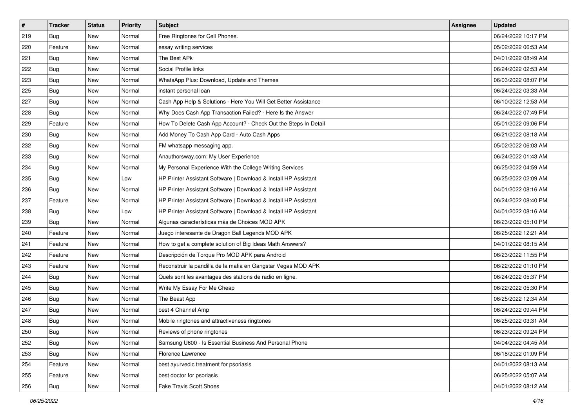| $\vert$ # | <b>Tracker</b> | <b>Status</b> | <b>Priority</b> | <b>Subject</b>                                                  | <b>Assignee</b> | <b>Updated</b>      |
|-----------|----------------|---------------|-----------------|-----------------------------------------------------------------|-----------------|---------------------|
| 219       | <b>Bug</b>     | New           | Normal          | Free Ringtones for Cell Phones.                                 |                 | 06/24/2022 10:17 PM |
| 220       | Feature        | New           | Normal          | essay writing services                                          |                 | 05/02/2022 06:53 AM |
| 221       | Bug            | New           | Normal          | The Best APk                                                    |                 | 04/01/2022 08:49 AM |
| 222       | Bug            | New           | Normal          | Social Profile links                                            |                 | 06/24/2022 02:53 AM |
| 223       | <b>Bug</b>     | <b>New</b>    | Normal          | WhatsApp Plus: Download, Update and Themes                      |                 | 06/03/2022 08:07 PM |
| 225       | <b>Bug</b>     | New           | Normal          | instant personal loan                                           |                 | 06/24/2022 03:33 AM |
| 227       | Bug            | New           | Normal          | Cash App Help & Solutions - Here You Will Get Better Assistance |                 | 06/10/2022 12:53 AM |
| 228       | Bug            | New           | Normal          | Why Does Cash App Transaction Failed? - Here Is the Answer      |                 | 06/24/2022 07:49 PM |
| 229       | Feature        | <b>New</b>    | Normal          | How To Delete Cash App Account? - Check Out the Steps In Detail |                 | 05/01/2022 09:06 PM |
| 230       | <b>Bug</b>     | <b>New</b>    | Normal          | Add Money To Cash App Card - Auto Cash Apps                     |                 | 06/21/2022 08:18 AM |
| 232       | Bug            | New           | Normal          | FM whatsapp messaging app.                                      |                 | 05/02/2022 06:03 AM |
| 233       | Bug            | New           | Normal          | Anauthorsway.com: My User Experience                            |                 | 06/24/2022 01:43 AM |
| 234       | Bug            | <b>New</b>    | Normal          | My Personal Experience With the College Writing Services        |                 | 06/25/2022 04:59 AM |
| 235       | Bug            | New           | Low             | HP Printer Assistant Software   Download & Install HP Assistant |                 | 06/25/2022 02:09 AM |
| 236       | Bug            | New           | Normal          | HP Printer Assistant Software   Download & Install HP Assistant |                 | 04/01/2022 08:16 AM |
| 237       | Feature        | New           | Normal          | HP Printer Assistant Software   Download & Install HP Assistant |                 | 06/24/2022 08:40 PM |
| 238       | Bug            | New           | Low             | HP Printer Assistant Software   Download & Install HP Assistant |                 | 04/01/2022 08:16 AM |
| 239       | Bug            | <b>New</b>    | Normal          | Algunas características más de Choices MOD APK                  |                 | 06/23/2022 05:10 PM |
| 240       | Feature        | New           | Normal          | Juego interesante de Dragon Ball Legends MOD APK                |                 | 06/25/2022 12:21 AM |
| 241       | Feature        | New           | Normal          | How to get a complete solution of Big Ideas Math Answers?       |                 | 04/01/2022 08:15 AM |
| 242       | Feature        | New           | Normal          | Descripción de Torque Pro MOD APK para Android                  |                 | 06/23/2022 11:55 PM |
| 243       | Feature        | <b>New</b>    | Normal          | Reconstruir la pandilla de la mafia en Gangstar Vegas MOD APK   |                 | 06/22/2022 01:10 PM |
| 244       | Bug            | <b>New</b>    | Normal          | Quels sont les avantages des stations de radio en ligne.        |                 | 06/24/2022 05:37 PM |
| 245       | Bug            | New           | Normal          | Write My Essay For Me Cheap                                     |                 | 06/22/2022 05:30 PM |
| 246       | Bug            | New           | Normal          | The Beast App                                                   |                 | 06/25/2022 12:34 AM |
| 247       | <b>Bug</b>     | <b>New</b>    | Normal          | best 4 Channel Amp                                              |                 | 06/24/2022 09:44 PM |
| 248       | Bug            | New           | Normal          | Mobile ringtones and attractiveness ringtones                   |                 | 06/25/2022 03:31 AM |
| 250       | Bug            | New           | Normal          | Reviews of phone ringtones                                      |                 | 06/23/2022 09:24 PM |
| 252       | Bug            | New           | Normal          | Samsung U600 - Is Essential Business And Personal Phone         |                 | 04/04/2022 04:45 AM |
| 253       | Bug            | New           | Normal          | Florence Lawrence                                               |                 | 06/18/2022 01:09 PM |
| 254       | Feature        | New           | Normal          | best ayurvedic treatment for psoriasis                          |                 | 04/01/2022 08:13 AM |
| 255       | Feature        | New           | Normal          | best doctor for psoriasis                                       |                 | 06/25/2022 05:07 AM |
| 256       | Bug            | New           | Normal          | Fake Travis Scott Shoes                                         |                 | 04/01/2022 08:12 AM |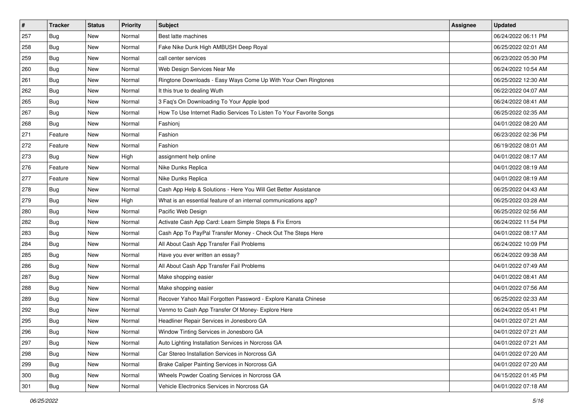| $\vert$ # | <b>Tracker</b> | <b>Status</b> | <b>Priority</b> | <b>Subject</b>                                                      | <b>Assignee</b> | <b>Updated</b>      |
|-----------|----------------|---------------|-----------------|---------------------------------------------------------------------|-----------------|---------------------|
| 257       | <b>Bug</b>     | New           | Normal          | Best latte machines                                                 |                 | 06/24/2022 06:11 PM |
| 258       | Bug            | New           | Normal          | Fake Nike Dunk High AMBUSH Deep Royal                               |                 | 06/25/2022 02:01 AM |
| 259       | Bug            | New           | Normal          | call center services                                                |                 | 06/23/2022 05:30 PM |
| 260       | Bug            | New           | Normal          | Web Design Services Near Me                                         |                 | 06/24/2022 10:54 AM |
| 261       | <b>Bug</b>     | <b>New</b>    | Normal          | Ringtone Downloads - Easy Ways Come Up With Your Own Ringtones      |                 | 06/25/2022 12:30 AM |
| 262       | Bug            | New           | Normal          | It this true to dealing Wuth                                        |                 | 06/22/2022 04:07 AM |
| 265       | Bug            | New           | Normal          | 3 Faq's On Downloading To Your Apple Ipod                           |                 | 06/24/2022 08:41 AM |
| 267       | Bug            | New           | Normal          | How To Use Internet Radio Services To Listen To Your Favorite Songs |                 | 06/25/2022 02:35 AM |
| 268       | Bug            | <b>New</b>    | Normal          | Fashioni                                                            |                 | 04/01/2022 08:20 AM |
| 271       | Feature        | <b>New</b>    | Normal          | Fashion                                                             |                 | 06/23/2022 02:36 PM |
| 272       | Feature        | New           | Normal          | Fashion                                                             |                 | 06/19/2022 08:01 AM |
| 273       | Bug            | New           | High            | assignment help online                                              |                 | 04/01/2022 08:17 AM |
| 276       | Feature        | <b>New</b>    | Normal          | Nike Dunks Replica                                                  |                 | 04/01/2022 08:19 AM |
| 277       | Feature        | New           | Normal          | Nike Dunks Replica                                                  |                 | 04/01/2022 08:19 AM |
| 278       | Bug            | New           | Normal          | Cash App Help & Solutions - Here You Will Get Better Assistance     |                 | 06/25/2022 04:43 AM |
| 279       | Bug            | New           | High            | What is an essential feature of an internal communications app?     |                 | 06/25/2022 03:28 AM |
| 280       | Bug            | New           | Normal          | Pacific Web Design                                                  |                 | 06/25/2022 02:56 AM |
| 282       | Bug            | <b>New</b>    | Normal          | Activate Cash App Card: Learn Simple Steps & Fix Errors             |                 | 06/24/2022 11:54 PM |
| 283       | <b>Bug</b>     | New           | Normal          | Cash App To PayPal Transfer Money - Check Out The Steps Here        |                 | 04/01/2022 08:17 AM |
| 284       | Bug            | <b>New</b>    | Normal          | All About Cash App Transfer Fail Problems                           |                 | 06/24/2022 10:09 PM |
| 285       | Bug            | New           | Normal          | Have you ever written an essay?                                     |                 | 06/24/2022 09:38 AM |
| 286       | Bug            | <b>New</b>    | Normal          | All About Cash App Transfer Fail Problems                           |                 | 04/01/2022 07:49 AM |
| 287       | Bug            | <b>New</b>    | Normal          | Make shopping easier                                                |                 | 04/01/2022 08:41 AM |
| 288       | Bug            | New           | Normal          | Make shopping easier                                                |                 | 04/01/2022 07:56 AM |
| 289       | Bug            | New           | Normal          | Recover Yahoo Mail Forgotten Password - Explore Kanata Chinese      |                 | 06/25/2022 02:33 AM |
| 292       | <b>Bug</b>     | <b>New</b>    | Normal          | Venmo to Cash App Transfer Of Money- Explore Here                   |                 | 06/24/2022 05:41 PM |
| 295       | <b>Bug</b>     | New           | Normal          | Headliner Repair Services in Jonesboro GA                           |                 | 04/01/2022 07:21 AM |
| 296       | Bug            | New           | Normal          | Window Tinting Services in Jonesboro GA                             |                 | 04/01/2022 07:21 AM |
| 297       | Bug            | New           | Normal          | Auto Lighting Installation Services in Norcross GA                  |                 | 04/01/2022 07:21 AM |
| 298       | <b>Bug</b>     | New           | Normal          | Car Stereo Installation Services in Norcross GA                     |                 | 04/01/2022 07:20 AM |
| 299       | <b>Bug</b>     | New           | Normal          | Brake Caliper Painting Services in Norcross GA                      |                 | 04/01/2022 07:20 AM |
| 300       | <b>Bug</b>     | New           | Normal          | Wheels Powder Coating Services in Norcross GA                       |                 | 04/15/2022 01:45 PM |
| 301       | Bug            | New           | Normal          | Vehicle Electronics Services in Norcross GA                         |                 | 04/01/2022 07:18 AM |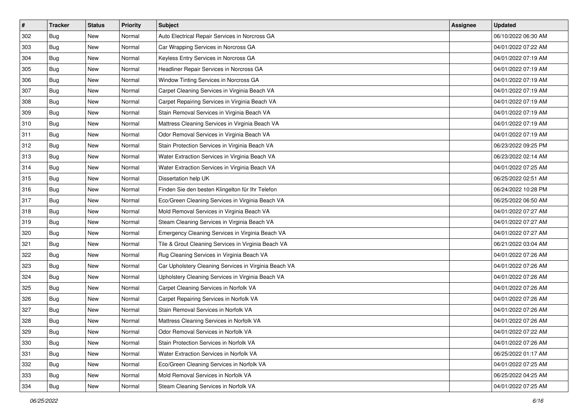| $\#$ | <b>Tracker</b> | <b>Status</b> | <b>Priority</b> | <b>Subject</b>                                        | Assignee | <b>Updated</b>      |
|------|----------------|---------------|-----------------|-------------------------------------------------------|----------|---------------------|
| 302  | Bug            | New           | Normal          | Auto Electrical Repair Services in Norcross GA        |          | 06/10/2022 06:30 AM |
| 303  | <b>Bug</b>     | New           | Normal          | Car Wrapping Services in Norcross GA                  |          | 04/01/2022 07:22 AM |
| 304  | <b>Bug</b>     | New           | Normal          | Keyless Entry Services in Norcross GA                 |          | 04/01/2022 07:19 AM |
| 305  | Bug            | New           | Normal          | Headliner Repair Services in Norcross GA              |          | 04/01/2022 07:19 AM |
| 306  | <b>Bug</b>     | <b>New</b>    | Normal          | Window Tinting Services in Norcross GA                |          | 04/01/2022 07:19 AM |
| 307  | <b>Bug</b>     | New           | Normal          | Carpet Cleaning Services in Virginia Beach VA         |          | 04/01/2022 07:19 AM |
| 308  | <b>Bug</b>     | New           | Normal          | Carpet Repairing Services in Virginia Beach VA        |          | 04/01/2022 07:19 AM |
| 309  | Bug            | New           | Normal          | Stain Removal Services in Virginia Beach VA           |          | 04/01/2022 07:19 AM |
| 310  | <b>Bug</b>     | New           | Normal          | Mattress Cleaning Services in Virginia Beach VA       |          | 04/01/2022 07:19 AM |
| 311  | Bug            | <b>New</b>    | Normal          | Odor Removal Services in Virginia Beach VA            |          | 04/01/2022 07:19 AM |
| 312  | <b>Bug</b>     | New           | Normal          | Stain Protection Services in Virginia Beach VA        |          | 06/23/2022 09:25 PM |
| 313  | <b>Bug</b>     | New           | Normal          | Water Extraction Services in Virginia Beach VA        |          | 06/23/2022 02:14 AM |
| 314  | <b>Bug</b>     | New           | Normal          | Water Extraction Services in Virginia Beach VA        |          | 04/01/2022 07:25 AM |
| 315  | <b>Bug</b>     | <b>New</b>    | Normal          | Dissertation help UK                                  |          | 06/25/2022 02:51 AM |
| 316  | Bug            | <b>New</b>    | Normal          | Finden Sie den besten Klingelton für Ihr Telefon      |          | 06/24/2022 10:28 PM |
| 317  | <b>Bug</b>     | New           | Normal          | Eco/Green Cleaning Services in Virginia Beach VA      |          | 06/25/2022 06:50 AM |
| 318  | Bug            | New           | Normal          | Mold Removal Services in Virginia Beach VA            |          | 04/01/2022 07:27 AM |
| 319  | <b>Bug</b>     | <b>New</b>    | Normal          | Steam Cleaning Services in Virginia Beach VA          |          | 04/01/2022 07:27 AM |
| 320  | <b>Bug</b>     | New           | Normal          | Emergency Cleaning Services in Virginia Beach VA      |          | 04/01/2022 07:27 AM |
| 321  | <b>Bug</b>     | New           | Normal          | Tile & Grout Cleaning Services in Virginia Beach VA   |          | 06/21/2022 03:04 AM |
| 322  | Bug            | New           | Normal          | Rug Cleaning Services in Virginia Beach VA            |          | 04/01/2022 07:26 AM |
| 323  | <b>Bug</b>     | New           | Normal          | Car Upholstery Cleaning Services in Virginia Beach VA |          | 04/01/2022 07:26 AM |
| 324  | <b>Bug</b>     | <b>New</b>    | Normal          | Upholstery Cleaning Services in Virginia Beach VA     |          | 04/01/2022 07:26 AM |
| 325  | <b>Bug</b>     | New           | Normal          | Carpet Cleaning Services in Norfolk VA                |          | 04/01/2022 07:26 AM |
| 326  | <b>Bug</b>     | New           | Normal          | Carpet Repairing Services in Norfolk VA               |          | 04/01/2022 07:26 AM |
| 327  | <b>Bug</b>     | New           | Normal          | Stain Removal Services in Norfolk VA                  |          | 04/01/2022 07:26 AM |
| 328  | <b>Bug</b>     | New           | Normal          | Mattress Cleaning Services in Norfolk VA              |          | 04/01/2022 07:26 AM |
| 329  | <b>Bug</b>     | New           | Normal          | Odor Removal Services in Norfolk VA                   |          | 04/01/2022 07:22 AM |
| 330  | Bug            | New           | Normal          | Stain Protection Services in Norfolk VA               |          | 04/01/2022 07:26 AM |
| 331  | <b>Bug</b>     | New           | Normal          | Water Extraction Services in Norfolk VA               |          | 06/25/2022 01:17 AM |
| 332  | <b>Bug</b>     | New           | Normal          | Eco/Green Cleaning Services in Norfolk VA             |          | 04/01/2022 07:25 AM |
| 333  | <b>Bug</b>     | New           | Normal          | Mold Removal Services in Norfolk VA                   |          | 06/25/2022 04:25 AM |
| 334  | <b>Bug</b>     | New           | Normal          | Steam Cleaning Services in Norfolk VA                 |          | 04/01/2022 07:25 AM |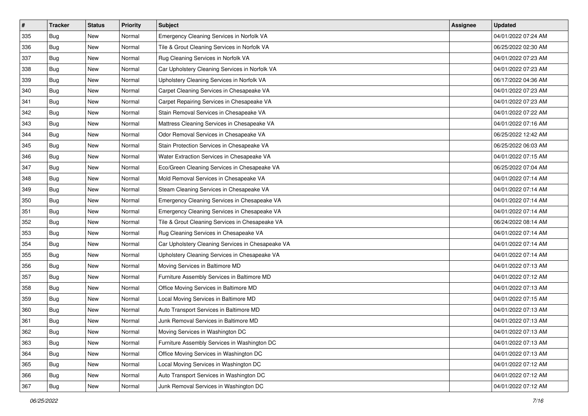| $\vert$ # | <b>Tracker</b> | <b>Status</b> | <b>Priority</b> | Subject                                           | <b>Assignee</b> | <b>Updated</b>      |
|-----------|----------------|---------------|-----------------|---------------------------------------------------|-----------------|---------------------|
| 335       | Bug            | New           | Normal          | Emergency Cleaning Services in Norfolk VA         |                 | 04/01/2022 07:24 AM |
| 336       | Bug            | New           | Normal          | Tile & Grout Cleaning Services in Norfolk VA      |                 | 06/25/2022 02:30 AM |
| 337       | Bug            | New           | Normal          | Rug Cleaning Services in Norfolk VA               |                 | 04/01/2022 07:23 AM |
| 338       | Bug            | New           | Normal          | Car Upholstery Cleaning Services in Norfolk VA    |                 | 04/01/2022 07:23 AM |
| 339       | <b>Bug</b>     | <b>New</b>    | Normal          | Upholstery Cleaning Services in Norfolk VA        |                 | 06/17/2022 04:36 AM |
| 340       | Bug            | New           | Normal          | Carpet Cleaning Services in Chesapeake VA         |                 | 04/01/2022 07:23 AM |
| 341       | Bug            | New           | Normal          | Carpet Repairing Services in Chesapeake VA        |                 | 04/01/2022 07:23 AM |
| 342       | Bug            | New           | Normal          | Stain Removal Services in Chesapeake VA           |                 | 04/01/2022 07:22 AM |
| 343       | Bug            | New           | Normal          | Mattress Cleaning Services in Chesapeake VA       |                 | 04/01/2022 07:16 AM |
| 344       | Bug            | <b>New</b>    | Normal          | Odor Removal Services in Chesapeake VA            |                 | 06/25/2022 12:42 AM |
| 345       | Bug            | New           | Normal          | Stain Protection Services in Chesapeake VA        |                 | 06/25/2022 06:03 AM |
| 346       | Bug            | New           | Normal          | Water Extraction Services in Chesapeake VA        |                 | 04/01/2022 07:15 AM |
| 347       | Bug            | <b>New</b>    | Normal          | Eco/Green Cleaning Services in Chesapeake VA      |                 | 06/25/2022 07:04 AM |
| 348       | Bug            | New           | Normal          | Mold Removal Services in Chesapeake VA            |                 | 04/01/2022 07:14 AM |
| 349       | <b>Bug</b>     | New           | Normal          | Steam Cleaning Services in Chesapeake VA          |                 | 04/01/2022 07:14 AM |
| 350       | Bug            | New           | Normal          | Emergency Cleaning Services in Chesapeake VA      |                 | 04/01/2022 07:14 AM |
| 351       | Bug            | New           | Normal          | Emergency Cleaning Services in Chesapeake VA      |                 | 04/01/2022 07:14 AM |
| 352       | <b>Bug</b>     | <b>New</b>    | Normal          | Tile & Grout Cleaning Services in Chesapeake VA   |                 | 06/24/2022 08:14 AM |
| 353       | <b>Bug</b>     | New           | Normal          | Rug Cleaning Services in Chesapeake VA            |                 | 04/01/2022 07:14 AM |
| 354       | Bug            | New           | Normal          | Car Upholstery Cleaning Services in Chesapeake VA |                 | 04/01/2022 07:14 AM |
| 355       | Bug            | New           | Normal          | Upholstery Cleaning Services in Chesapeake VA     |                 | 04/01/2022 07:14 AM |
| 356       | Bug            | <b>New</b>    | Normal          | Moving Services in Baltimore MD                   |                 | 04/01/2022 07:13 AM |
| 357       | <b>Bug</b>     | <b>New</b>    | Normal          | Furniture Assembly Services in Baltimore MD       |                 | 04/01/2022 07:12 AM |
| 358       | Bug            | New           | Normal          | Office Moving Services in Baltimore MD            |                 | 04/01/2022 07:13 AM |
| 359       | Bug            | New           | Normal          | Local Moving Services in Baltimore MD             |                 | 04/01/2022 07:15 AM |
| 360       | <b>Bug</b>     | <b>New</b>    | Normal          | Auto Transport Services in Baltimore MD           |                 | 04/01/2022 07:13 AM |
| 361       | <b>Bug</b>     | New           | Normal          | Junk Removal Services in Baltimore MD             |                 | 04/01/2022 07:13 AM |
| 362       | <b>Bug</b>     | New           | Normal          | Moving Services in Washington DC                  |                 | 04/01/2022 07:13 AM |
| 363       | Bug            | New           | Normal          | Furniture Assembly Services in Washington DC      |                 | 04/01/2022 07:13 AM |
| 364       | Bug            | New           | Normal          | Office Moving Services in Washington DC           |                 | 04/01/2022 07:13 AM |
| 365       | Bug            | New           | Normal          | Local Moving Services in Washington DC            |                 | 04/01/2022 07:12 AM |
| 366       | <b>Bug</b>     | New           | Normal          | Auto Transport Services in Washington DC          |                 | 04/01/2022 07:12 AM |
| 367       | <b>Bug</b>     | New           | Normal          | Junk Removal Services in Washington DC            |                 | 04/01/2022 07:12 AM |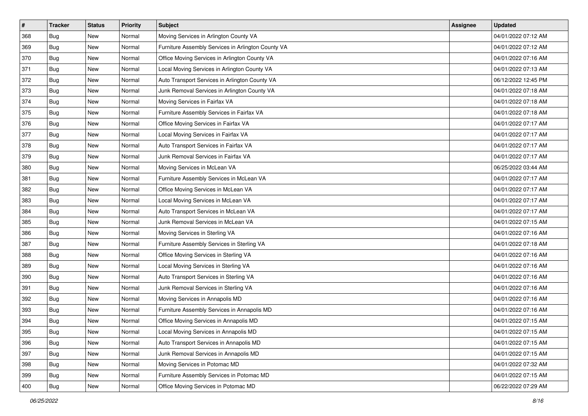| $\vert$ # | <b>Tracker</b> | <b>Status</b> | Priority | Subject                                            | Assignee | <b>Updated</b>      |
|-----------|----------------|---------------|----------|----------------------------------------------------|----------|---------------------|
| 368       | <b>Bug</b>     | New           | Normal   | Moving Services in Arlington County VA             |          | 04/01/2022 07:12 AM |
| 369       | Bug            | New           | Normal   | Furniture Assembly Services in Arlington County VA |          | 04/01/2022 07:12 AM |
| 370       | Bug            | New           | Normal   | Office Moving Services in Arlington County VA      |          | 04/01/2022 07:16 AM |
| 371       | Bug            | New           | Normal   | Local Moving Services in Arlington County VA       |          | 04/01/2022 07:13 AM |
| 372       | <b>Bug</b>     | <b>New</b>    | Normal   | Auto Transport Services in Arlington County VA     |          | 06/12/2022 12:45 PM |
| 373       | Bug            | New           | Normal   | Junk Removal Services in Arlington County VA       |          | 04/01/2022 07:18 AM |
| 374       | <b>Bug</b>     | New           | Normal   | Moving Services in Fairfax VA                      |          | 04/01/2022 07:18 AM |
| 375       | <b>Bug</b>     | New           | Normal   | Furniture Assembly Services in Fairfax VA          |          | 04/01/2022 07:18 AM |
| 376       | Bug            | New           | Normal   | Office Moving Services in Fairfax VA               |          | 04/01/2022 07:17 AM |
| 377       | <b>Bug</b>     | New           | Normal   | Local Moving Services in Fairfax VA                |          | 04/01/2022 07:17 AM |
| 378       | Bug            | New           | Normal   | Auto Transport Services in Fairfax VA              |          | 04/01/2022 07:17 AM |
| 379       | <b>Bug</b>     | New           | Normal   | Junk Removal Services in Fairfax VA                |          | 04/01/2022 07:17 AM |
| 380       | Bug            | <b>New</b>    | Normal   | Moving Services in McLean VA                       |          | 06/25/2022 03:44 AM |
| 381       | Bug            | New           | Normal   | Furniture Assembly Services in McLean VA           |          | 04/01/2022 07:17 AM |
| 382       | <b>Bug</b>     | New           | Normal   | Office Moving Services in McLean VA                |          | 04/01/2022 07:17 AM |
| 383       | Bug            | New           | Normal   | Local Moving Services in McLean VA                 |          | 04/01/2022 07:17 AM |
| 384       | Bug            | New           | Normal   | Auto Transport Services in McLean VA               |          | 04/01/2022 07:17 AM |
| 385       | <b>Bug</b>     | <b>New</b>    | Normal   | Junk Removal Services in McLean VA                 |          | 04/01/2022 07:15 AM |
| 386       | <b>Bug</b>     | New           | Normal   | Moving Services in Sterling VA                     |          | 04/01/2022 07:16 AM |
| 387       | Bug            | New           | Normal   | Furniture Assembly Services in Sterling VA         |          | 04/01/2022 07:18 AM |
| 388       | Bug            | New           | Normal   | Office Moving Services in Sterling VA              |          | 04/01/2022 07:16 AM |
| 389       | Bug            | New           | Normal   | Local Moving Services in Sterling VA               |          | 04/01/2022 07:16 AM |
| 390       | <b>Bug</b>     | <b>New</b>    | Normal   | Auto Transport Services in Sterling VA             |          | 04/01/2022 07:16 AM |
| 391       | Bug            | New           | Normal   | Junk Removal Services in Sterling VA               |          | 04/01/2022 07:16 AM |
| 392       | Bug            | New           | Normal   | Moving Services in Annapolis MD                    |          | 04/01/2022 07:16 AM |
| 393       | <b>Bug</b>     | <b>New</b>    | Normal   | Furniture Assembly Services in Annapolis MD        |          | 04/01/2022 07:16 AM |
| 394       | <b>Bug</b>     | New           | Normal   | Office Moving Services in Annapolis MD             |          | 04/01/2022 07:15 AM |
| 395       | Bug            | New           | Normal   | Local Moving Services in Annapolis MD              |          | 04/01/2022 07:15 AM |
| 396       | <b>Bug</b>     | New           | Normal   | Auto Transport Services in Annapolis MD            |          | 04/01/2022 07:15 AM |
| 397       | Bug            | New           | Normal   | Junk Removal Services in Annapolis MD              |          | 04/01/2022 07:15 AM |
| 398       | <b>Bug</b>     | New           | Normal   | Moving Services in Potomac MD                      |          | 04/01/2022 07:32 AM |
| 399       | <b>Bug</b>     | New           | Normal   | Furniture Assembly Services in Potomac MD          |          | 04/01/2022 07:15 AM |
| 400       | <b>Bug</b>     | New           | Normal   | Office Moving Services in Potomac MD               |          | 06/22/2022 07:29 AM |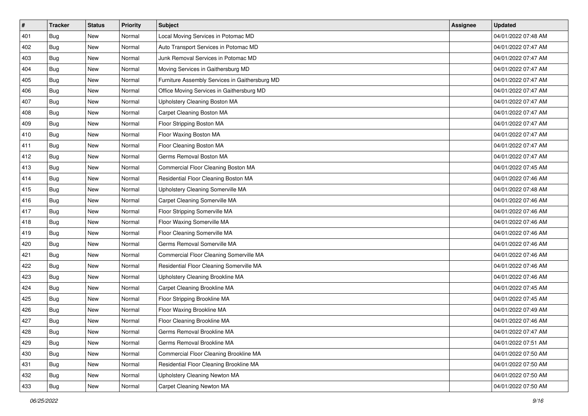| #   | <b>Tracker</b> | <b>Status</b> | <b>Priority</b> | Subject                                        | <b>Assignee</b> | <b>Updated</b>      |
|-----|----------------|---------------|-----------------|------------------------------------------------|-----------------|---------------------|
| 401 | Bug            | New           | Normal          | Local Moving Services in Potomac MD            |                 | 04/01/2022 07:48 AM |
| 402 | Bug            | New           | Normal          | Auto Transport Services in Potomac MD          |                 | 04/01/2022 07:47 AM |
| 403 | Bug            | New           | Normal          | Junk Removal Services in Potomac MD            |                 | 04/01/2022 07:47 AM |
| 404 | Bug            | New           | Normal          | Moving Services in Gaithersburg MD             |                 | 04/01/2022 07:47 AM |
| 405 | <b>Bug</b>     | <b>New</b>    | Normal          | Furniture Assembly Services in Gaithersburg MD |                 | 04/01/2022 07:47 AM |
| 406 | Bug            | New           | Normal          | Office Moving Services in Gaithersburg MD      |                 | 04/01/2022 07:47 AM |
| 407 | Bug            | New           | Normal          | Upholstery Cleaning Boston MA                  |                 | 04/01/2022 07:47 AM |
| 408 | Bug            | New           | Normal          | Carpet Cleaning Boston MA                      |                 | 04/01/2022 07:47 AM |
| 409 | Bug            | New           | Normal          | Floor Stripping Boston MA                      |                 | 04/01/2022 07:47 AM |
| 410 | Bug            | <b>New</b>    | Normal          | Floor Waxing Boston MA                         |                 | 04/01/2022 07:47 AM |
| 411 | Bug            | New           | Normal          | Floor Cleaning Boston MA                       |                 | 04/01/2022 07:47 AM |
| 412 | Bug            | New           | Normal          | Germs Removal Boston MA                        |                 | 04/01/2022 07:47 AM |
| 413 | Bug            | <b>New</b>    | Normal          | Commercial Floor Cleaning Boston MA            |                 | 04/01/2022 07:45 AM |
| 414 | Bug            | New           | Normal          | Residential Floor Cleaning Boston MA           |                 | 04/01/2022 07:46 AM |
| 415 | <b>Bug</b>     | New           | Normal          | Upholstery Cleaning Somerville MA              |                 | 04/01/2022 07:48 AM |
| 416 | Bug            | New           | Normal          | Carpet Cleaning Somerville MA                  |                 | 04/01/2022 07:46 AM |
| 417 | Bug            | New           | Normal          | Floor Stripping Somerville MA                  |                 | 04/01/2022 07:46 AM |
| 418 | <b>Bug</b>     | <b>New</b>    | Normal          | Floor Waxing Somerville MA                     |                 | 04/01/2022 07:46 AM |
| 419 | <b>Bug</b>     | New           | Normal          | Floor Cleaning Somerville MA                   |                 | 04/01/2022 07:46 AM |
| 420 | Bug            | New           | Normal          | Germs Removal Somerville MA                    |                 | 04/01/2022 07:46 AM |
| 421 | <b>Bug</b>     | New           | Normal          | Commercial Floor Cleaning Somerville MA        |                 | 04/01/2022 07:46 AM |
| 422 | Bug            | <b>New</b>    | Normal          | Residential Floor Cleaning Somerville MA       |                 | 04/01/2022 07:46 AM |
| 423 | <b>Bug</b>     | <b>New</b>    | Normal          | Upholstery Cleaning Brookline MA               |                 | 04/01/2022 07:46 AM |
| 424 | Bug            | New           | Normal          | Carpet Cleaning Brookline MA                   |                 | 04/01/2022 07:45 AM |
| 425 | Bug            | New           | Normal          | Floor Stripping Brookline MA                   |                 | 04/01/2022 07:45 AM |
| 426 | <b>Bug</b>     | <b>New</b>    | Normal          | Floor Waxing Brookline MA                      |                 | 04/01/2022 07:49 AM |
| 427 | <b>Bug</b>     | New           | Normal          | Floor Cleaning Brookline MA                    |                 | 04/01/2022 07:46 AM |
| 428 | Bug            | New           | Normal          | Germs Removal Brookline MA                     |                 | 04/01/2022 07:47 AM |
| 429 | <b>Bug</b>     | New           | Normal          | Germs Removal Brookline MA                     |                 | 04/01/2022 07:51 AM |
| 430 | <b>Bug</b>     | New           | Normal          | Commercial Floor Cleaning Brookline MA         |                 | 04/01/2022 07:50 AM |
| 431 | Bug            | New           | Normal          | Residential Floor Cleaning Brookline MA        |                 | 04/01/2022 07:50 AM |
| 432 | <b>Bug</b>     | New           | Normal          | Upholstery Cleaning Newton MA                  |                 | 04/01/2022 07:50 AM |
| 433 | <b>Bug</b>     | New           | Normal          | Carpet Cleaning Newton MA                      |                 | 04/01/2022 07:50 AM |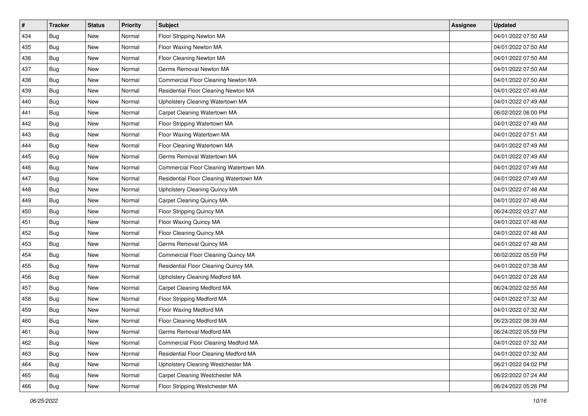| $\pmb{\#}$ | <b>Tracker</b> | <b>Status</b> | Priority | Subject                                 | <b>Assignee</b> | <b>Updated</b>      |
|------------|----------------|---------------|----------|-----------------------------------------|-----------------|---------------------|
| 434        | Bug            | New           | Normal   | Floor Stripping Newton MA               |                 | 04/01/2022 07:50 AM |
| 435        | <b>Bug</b>     | New           | Normal   | Floor Waxing Newton MA                  |                 | 04/01/2022 07:50 AM |
| 436        | Bug            | New           | Normal   | Floor Cleaning Newton MA                |                 | 04/01/2022 07:50 AM |
| 437        | <b>Bug</b>     | New           | Normal   | Germs Removal Newton MA                 |                 | 04/01/2022 07:50 AM |
| 438        | <b>Bug</b>     | <b>New</b>    | Normal   | Commercial Floor Cleaning Newton MA     |                 | 04/01/2022 07:50 AM |
| 439        | <b>Bug</b>     | New           | Normal   | Residential Floor Cleaning Newton MA    |                 | 04/01/2022 07:49 AM |
| 440        | <b>Bug</b>     | New           | Normal   | Upholstery Cleaning Watertown MA        |                 | 04/01/2022 07:49 AM |
| 441        | Bug            | New           | Normal   | Carpet Cleaning Watertown MA            |                 | 06/02/2022 06:00 PM |
| 442        | <b>Bug</b>     | New           | Normal   | Floor Stripping Watertown MA            |                 | 04/01/2022 07:49 AM |
| 443        | <b>Bug</b>     | <b>New</b>    | Normal   | Floor Waxing Watertown MA               |                 | 04/01/2022 07:51 AM |
| 444        | <b>Bug</b>     | New           | Normal   | Floor Cleaning Watertown MA             |                 | 04/01/2022 07:49 AM |
| 445        | Bug            | New           | Normal   | Germs Removal Watertown MA              |                 | 04/01/2022 07:49 AM |
| 446        | <b>Bug</b>     | <b>New</b>    | Normal   | Commercial Floor Cleaning Watertown MA  |                 | 04/01/2022 07:49 AM |
| 447        | <b>Bug</b>     | New           | Normal   | Residential Floor Cleaning Watertown MA |                 | 04/01/2022 07:49 AM |
| 448        | <b>Bug</b>     | New           | Normal   | Upholstery Cleaning Quincy MA           |                 | 04/01/2022 07:48 AM |
| 449        | <b>Bug</b>     | New           | Normal   | Carpet Cleaning Quincy MA               |                 | 04/01/2022 07:48 AM |
| 450        | <b>Bug</b>     | New           | Normal   | Floor Stripping Quincy MA               |                 | 06/24/2022 03:27 AM |
| 451        | Bug            | <b>New</b>    | Normal   | Floor Waxing Quincy MA                  |                 | 04/01/2022 07:48 AM |
| 452        | <b>Bug</b>     | New           | Normal   | Floor Cleaning Quincy MA                |                 | 04/01/2022 07:48 AM |
| 453        | <b>Bug</b>     | New           | Normal   | Germs Removal Quincy MA                 |                 | 04/01/2022 07:48 AM |
| 454        | <b>Bug</b>     | New           | Normal   | Commercial Floor Cleaning Quincy MA     |                 | 06/02/2022 05:59 PM |
| 455        | <b>Bug</b>     | <b>New</b>    | Normal   | Residential Floor Cleaning Quincy MA    |                 | 04/01/2022 07:38 AM |
| 456        | <b>Bug</b>     | <b>New</b>    | Normal   | Upholstery Cleaning Medford MA          |                 | 04/01/2022 07:28 AM |
| 457        | <b>Bug</b>     | New           | Normal   | Carpet Cleaning Medford MA              |                 | 06/24/2022 02:55 AM |
| 458        | <b>Bug</b>     | New           | Normal   | Floor Stripping Medford MA              |                 | 04/01/2022 07:32 AM |
| 459        | <b>Bug</b>     | New           | Normal   | Floor Waxing Medford MA                 |                 | 04/01/2022 07:32 AM |
| 460        | <b>Bug</b>     | New           | Normal   | Floor Cleaning Medford MA               |                 | 06/23/2022 08:39 AM |
| 461        | <b>Bug</b>     | New           | Normal   | Germs Removal Medford MA                |                 | 06/24/2022 05:59 PM |
| 462        | Bug            | New           | Normal   | Commercial Floor Cleaning Medford MA    |                 | 04/01/2022 07:32 AM |
| 463        | Bug            | New           | Normal   | Residential Floor Cleaning Medford MA   |                 | 04/01/2022 07:32 AM |
| 464        | <b>Bug</b>     | New           | Normal   | Upholstery Cleaning Westchester MA      |                 | 06/21/2022 04:02 PM |
| 465        | Bug            | New           | Normal   | Carpet Cleaning Westchester MA          |                 | 06/22/2022 07:24 AM |
| 466        | Bug            | New           | Normal   | Floor Stripping Westchester MA          |                 | 06/24/2022 05:26 PM |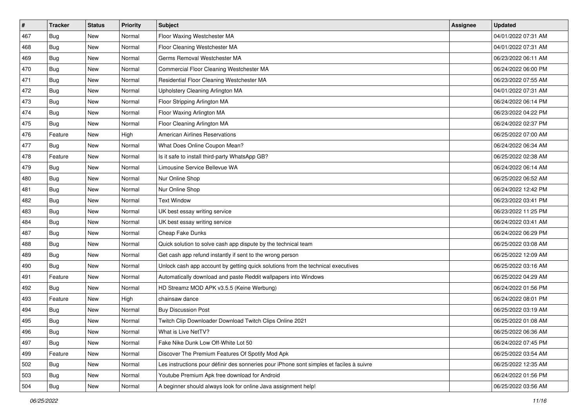| $\pmb{\#}$ | Tracker    | <b>Status</b> | <b>Priority</b> | Subject                                                                                  | <b>Assignee</b> | <b>Updated</b>      |
|------------|------------|---------------|-----------------|------------------------------------------------------------------------------------------|-----------------|---------------------|
| 467        | Bug        | New           | Normal          | Floor Waxing Westchester MA                                                              |                 | 04/01/2022 07:31 AM |
| 468        | <b>Bug</b> | <b>New</b>    | Normal          | Floor Cleaning Westchester MA                                                            |                 | 04/01/2022 07:31 AM |
| 469        | Bug        | New           | Normal          | Germs Removal Westchester MA                                                             |                 | 06/23/2022 06:11 AM |
| 470        | <b>Bug</b> | New           | Normal          | Commercial Floor Cleaning Westchester MA                                                 |                 | 06/24/2022 06:00 PM |
| 471        | Bug        | <b>New</b>    | Normal          | Residential Floor Cleaning Westchester MA                                                |                 | 06/23/2022 07:55 AM |
| 472        | <b>Bug</b> | New           | Normal          | Upholstery Cleaning Arlington MA                                                         |                 | 04/01/2022 07:31 AM |
| 473        | <b>Bug</b> | New           | Normal          | Floor Stripping Arlington MA                                                             |                 | 06/24/2022 06:14 PM |
| 474        | <b>Bug</b> | New           | Normal          | Floor Waxing Arlington MA                                                                |                 | 06/23/2022 04:22 PM |
| 475        | <b>Bug</b> | New           | Normal          | Floor Cleaning Arlington MA                                                              |                 | 06/24/2022 02:37 PM |
| 476        | Feature    | <b>New</b>    | High            | <b>American Airlines Reservations</b>                                                    |                 | 06/25/2022 07:00 AM |
| 477        | <b>Bug</b> | New           | Normal          | What Does Online Coupon Mean?                                                            |                 | 06/24/2022 06:34 AM |
| 478        | Feature    | New           | Normal          | Is it safe to install third-party WhatsApp GB?                                           |                 | 06/25/2022 02:38 AM |
| 479        | <b>Bug</b> | New           | Normal          | Limousine Service Bellevue WA                                                            |                 | 06/24/2022 06:14 AM |
| 480        | <b>Bug</b> | New           | Normal          | Nur Online Shop                                                                          |                 | 06/25/2022 06:52 AM |
| 481        | <b>Bug</b> | <b>New</b>    | Normal          | Nur Online Shop                                                                          |                 | 06/24/2022 12:42 PM |
| 482        | Bug        | New           | Normal          | <b>Text Window</b>                                                                       |                 | 06/23/2022 03:41 PM |
| 483        | <b>Bug</b> | New           | Normal          | UK best essay writing service                                                            |                 | 06/23/2022 11:25 PM |
| 484        | Bug        | <b>New</b>    | Normal          | UK best essay writing service                                                            |                 | 06/24/2022 03:41 AM |
| 487        | <b>Bug</b> | New           | Normal          | Cheap Fake Dunks                                                                         |                 | 06/24/2022 06:29 PM |
| 488        | <b>Bug</b> | <b>New</b>    | Normal          | Quick solution to solve cash app dispute by the technical team                           |                 | 06/25/2022 03:08 AM |
| 489        | Bug        | New           | Normal          | Get cash app refund instantly if sent to the wrong person                                |                 | 06/25/2022 12:09 AM |
| 490        | <b>Bug</b> | New           | Normal          | Unlock cash app account by getting quick solutions from the technical executives         |                 | 06/25/2022 03:16 AM |
| 491        | Feature    | <b>New</b>    | Normal          | Automatically download and paste Reddit wallpapers into Windows                          |                 | 06/25/2022 04:29 AM |
| 492        | Bug        | New           | Normal          | HD Streamz MOD APK v3.5.5 (Keine Werbung)                                                |                 | 06/24/2022 01:56 PM |
| 493        | Feature    | New           | High            | chainsaw dance                                                                           |                 | 06/24/2022 08:01 PM |
| 494        | <b>Bug</b> | New           | Normal          | <b>Buy Discussion Post</b>                                                               |                 | 06/25/2022 03:19 AM |
| 495        | <b>Bug</b> | New           | Normal          | Twitch Clip Downloader Download Twitch Clips Online 2021                                 |                 | 06/25/2022 01:08 AM |
| 496        | <b>Bug</b> | New           | Normal          | What is Live NetTV?                                                                      |                 | 06/25/2022 06:36 AM |
| 497        | <b>Bug</b> | New           | Normal          | Fake Nike Dunk Low Off-White Lot 50                                                      |                 | 06/24/2022 07:45 PM |
| 499        | Feature    | New           | Normal          | Discover The Premium Features Of Spotify Mod Apk                                         |                 | 06/25/2022 03:54 AM |
| 502        | Bug        | New           | Normal          | Les instructions pour définir des sonneries pour iPhone sont simples et faciles à suivre |                 | 06/25/2022 12:35 AM |
| 503        | Bug        | New           | Normal          | Youtube Premium Apk free download for Android                                            |                 | 06/24/2022 01:56 PM |
| 504        | <b>Bug</b> | New           | Normal          | A beginner should always look for online Java assignment help!                           |                 | 06/25/2022 03:56 AM |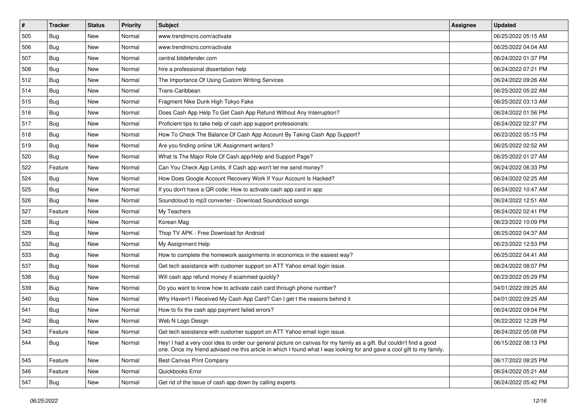| $\pmb{\#}$ | Tracker    | <b>Status</b> | <b>Priority</b> | <b>Subject</b>                                                                                                                                                                                                                                 | <b>Assignee</b> | <b>Updated</b>      |
|------------|------------|---------------|-----------------|------------------------------------------------------------------------------------------------------------------------------------------------------------------------------------------------------------------------------------------------|-----------------|---------------------|
| 505        | Bug        | New           | Normal          | www.trendmicro.com/activate                                                                                                                                                                                                                    |                 | 06/25/2022 05:15 AM |
| 506        | Bug        | <b>New</b>    | Normal          | www.trendmicro.com/activate                                                                                                                                                                                                                    |                 | 06/25/2022 04:04 AM |
| 507        | Bug        | New           | Normal          | central.bitdefender.com                                                                                                                                                                                                                        |                 | 06/24/2022 01:37 PM |
| 508        | Bug        | New           | Normal          | hire a professional dissertation help                                                                                                                                                                                                          |                 | 06/24/2022 07:21 PM |
| 512        | Bug        | <b>New</b>    | Normal          | The Importance Of Using Custom Writing Services                                                                                                                                                                                                |                 | 06/24/2022 09:26 AM |
| 514        | Bug        | New           | Normal          | Trans-Caribbean                                                                                                                                                                                                                                |                 | 06/25/2022 05:22 AM |
| 515        | <b>Bug</b> | New           | Normal          | Fragment Nike Dunk High Tokyo Fake                                                                                                                                                                                                             |                 | 06/25/2022 03:13 AM |
| 516        | <b>Bug</b> | New           | Normal          | Does Cash App Help To Get Cash App Refund Without Any Interruption?                                                                                                                                                                            |                 | 06/24/2022 01:56 PM |
| 517        | Bug        | New           | Normal          | Proficient tips to take help of cash app support professionals:                                                                                                                                                                                |                 | 06/24/2022 02:37 PM |
| 518        | Bug        | <b>New</b>    | Normal          | How To Check The Balance Of Cash App Account By Taking Cash App Support?                                                                                                                                                                       |                 | 06/23/2022 05:15 PM |
| 519        | <b>Bug</b> | New           | Normal          | Are you finding online UK Assignment writers?                                                                                                                                                                                                  |                 | 06/25/2022 02:52 AM |
| 520        | Bug        | New           | Normal          | What Is The Major Role Of Cash.app/Help and Support Page?                                                                                                                                                                                      |                 | 06/25/2022 01:27 AM |
| 522        | Feature    | New           | Normal          | Can You Check App Limits, If Cash app won't let me send money?                                                                                                                                                                                 |                 | 06/24/2022 06:33 PM |
| 524        | <b>Bug</b> | New           | Normal          | How Does Google Account Recovery Work If Your Account Is Hacked?                                                                                                                                                                               |                 | 06/24/2022 02:25 AM |
| 525        | <b>Bug</b> | New           | Normal          | If you don't have a QR code: How to activate cash app card in app                                                                                                                                                                              |                 | 06/24/2022 10:47 AM |
| 526        | Bug        | New           | Normal          | Soundcloud to mp3 converter - Download Soundcloud songs                                                                                                                                                                                        |                 | 06/24/2022 12:51 AM |
| 527        | Feature    | New           | Normal          | My Teachers                                                                                                                                                                                                                                    |                 | 06/24/2022 02:41 PM |
| 528        | <b>Bug</b> | New           | Normal          | Korean Mag                                                                                                                                                                                                                                     |                 | 06/23/2022 10:09 PM |
| 529        | Bug        | New           | Normal          | Thop TV APK - Free Download for Android                                                                                                                                                                                                        |                 | 06/25/2022 04:37 AM |
| 532        | <b>Bug</b> | <b>New</b>    | Normal          | My Assignment Help                                                                                                                                                                                                                             |                 | 06/23/2022 12:53 PM |
| 533        | Bug        | New           | Normal          | How to complete the homework assignments in economics in the easiest way?                                                                                                                                                                      |                 | 06/25/2022 04:41 AM |
| 537        | Bug        | New           | Normal          | Get tech assistance with customer support on ATT Yahoo email login issue.                                                                                                                                                                      |                 | 06/24/2022 08:07 PM |
| 538        | Bug        | <b>New</b>    | Normal          | Will cash app refund money if scammed quickly?                                                                                                                                                                                                 |                 | 06/23/2022 05:29 PM |
| 539        | <b>Bug</b> | New           | Normal          | Do you want to know how to activate cash card through phone number?                                                                                                                                                                            |                 | 04/01/2022 09:25 AM |
| 540        | Bug        | New           | Normal          | Why Haven't I Received My Cash App Card? Can I get t the reasons behind it                                                                                                                                                                     |                 | 04/01/2022 09:25 AM |
| 541        | Bug        | New           | Normal          | How to fix the cash app payment failed errors?                                                                                                                                                                                                 |                 | 06/24/2022 09:04 PM |
| 542        | <b>Bug</b> | New           | Normal          | Web N Logo Design                                                                                                                                                                                                                              |                 | 06/22/2022 12:28 PM |
| 543        | Feature    | New           | Normal          | Get tech assistance with customer support on ATT Yahoo email login issue.                                                                                                                                                                      |                 | 06/24/2022 05:08 PM |
| 544        | <b>Bug</b> | New           | Normal          | Hey! I had a very cool idea to order our general picture on canvas for my family as a gift. But couldn't find a good<br>one. Once my friend advised me this article in which I found what I was looking for and gave a cool gift to my family. |                 | 06/15/2022 08:13 PM |
| 545        | Feature    | New           | Normal          | <b>Best Canvas Print Company</b>                                                                                                                                                                                                               |                 | 06/17/2022 08:25 PM |
| 546        | Feature    | New           | Normal          | Quickbooks Error                                                                                                                                                                                                                               |                 | 06/24/2022 05:21 AM |
| 547        | <b>Bug</b> | New           | Normal          | Get rid of the issue of cash app down by calling experts.                                                                                                                                                                                      |                 | 06/24/2022 05:42 PM |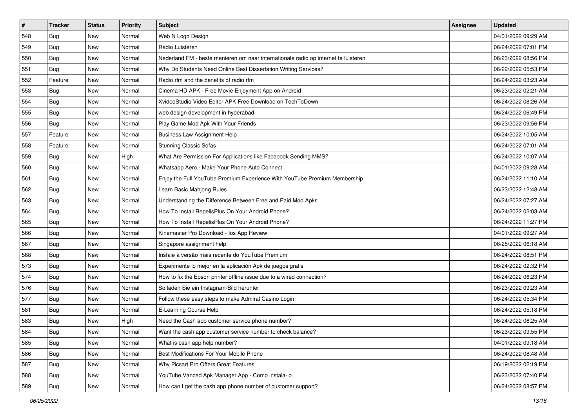| $\pmb{\#}$ | Tracker    | <b>Status</b> | <b>Priority</b> | Subject                                                                             | <b>Assignee</b> | <b>Updated</b>      |
|------------|------------|---------------|-----------------|-------------------------------------------------------------------------------------|-----------------|---------------------|
| 548        | Bug        | New           | Normal          | Web N Logo Design                                                                   |                 | 04/01/2022 09:29 AM |
| 549        | <b>Bug</b> | New           | Normal          | Radio Luisteren                                                                     |                 | 06/24/2022 07:01 PM |
| 550        | Bug        | New           | Normal          | Nederland FM - beste manieren om naar internationale radio op internet te luisteren |                 | 06/23/2022 08:56 PM |
| 551        | <b>Bug</b> | New           | Normal          | Why Do Students Need Online Best Dissertation Writing Services?                     |                 | 06/22/2022 05:53 PM |
| 552        | Feature    | <b>New</b>    | Normal          | Radio rfm and the benefits of radio rfm                                             |                 | 06/24/2022 03:23 AM |
| 553        | Bug        | New           | Normal          | Cinema HD APK - Free Movie Enjoyment App on Android                                 |                 | 06/23/2022 02:21 AM |
| 554        | Bug        | New           | Normal          | XvideoStudio Video Editor APK Free Download on TechToDown                           |                 | 06/24/2022 08:26 AM |
| 555        | <b>Bug</b> | New           | Normal          | web design development in hyderabad                                                 |                 | 06/24/2022 06:49 PM |
| 556        | <b>Bug</b> | New           | Normal          | Play Game Mod Apk With Your Friends                                                 |                 | 06/23/2022 09:56 PM |
| 557        | Feature    | <b>New</b>    | Normal          | <b>Business Law Assignment Help</b>                                                 |                 | 06/24/2022 10:05 AM |
| 558        | Feature    | New           | Normal          | Stunning Classic Sofas                                                              |                 | 06/24/2022 07:01 AM |
| 559        | Bug        | New           | High            | What Are Permission For Applications like Facebook Sending MMS?                     |                 | 06/24/2022 10:07 AM |
| 560        | Bug        | <b>New</b>    | Normal          | Whatsapp Aero - Make Your Phone Auto Connect                                        |                 | 04/01/2022 09:28 AM |
| 561        | <b>Bug</b> | New           | Normal          | Enjoy the Full YouTube Premium Experience With YouTube Premium Membership           |                 | 06/24/2022 11:10 AM |
| 562        | <b>Bug</b> | New           | Normal          | Learn Basic Mahjong Rules                                                           |                 | 06/23/2022 12:48 AM |
| 563        | Bug        | New           | Normal          | Understanding the Difference Between Free and Paid Mod Apks                         |                 | 06/24/2022 07:27 AM |
| 564        | <b>Bug</b> | <b>New</b>    | Normal          | How To Install RepelisPlus On Your Android Phone?                                   |                 | 06/24/2022 02:03 AM |
| 565        | Bug        | <b>New</b>    | Normal          | How To Install RepelisPlus On Your Android Phone?                                   |                 | 06/24/2022 11:27 PM |
| 566        | Bug        | New           | Normal          | Kinemaster Pro Download - los App Review                                            |                 | 04/01/2022 09:27 AM |
| 567        | <b>Bug</b> | New           | Normal          | Singapore assignment help                                                           |                 | 06/25/2022 06:18 AM |
| 568        | <b>Bug</b> | New           | Normal          | Instale a versão mais recente do YouTube Premium                                    |                 | 06/24/2022 08:51 PM |
| 573        | <b>Bug</b> | New           | Normal          | Experimente lo mejor en la aplicación Apk de juegos gratis                          |                 | 06/24/2022 02:32 PM |
| 574        | Bug        | <b>New</b>    | Normal          | How to fix the Epson printer offline issue due to a wired connection?               |                 | 06/24/2022 06:23 PM |
| 576        | <b>Bug</b> | New           | Normal          | So laden Sie ein Instagram-Bild herunter                                            |                 | 06/23/2022 09:23 AM |
| 577        | Bug        | New           | Normal          | Follow these easy steps to make Admiral Casino Login                                |                 | 06/24/2022 05:34 PM |
| 581        | Bug        | <b>New</b>    | Normal          | E-Learning Course Help                                                              |                 | 06/24/2022 05:18 PM |
| 583        | <b>Bug</b> | New           | High            | Need the Cash app customer service phone number?                                    |                 | 06/24/2022 06:25 AM |
| 584        | <b>Bug</b> | New           | Normal          | Want the cash app customer service number to check balance?                         |                 | 06/23/2022 09:55 PM |
| 585        | Bug        | New           | Normal          | What is cash app help number?                                                       |                 | 04/01/2022 09:18 AM |
| 586        | Bug        | New           | Normal          | Best Modifications For Your Mobile Phone                                            |                 | 06/24/2022 08:48 AM |
| 587        | <b>Bug</b> | New           | Normal          | Why Picsart Pro Offers Great Features                                               |                 | 06/19/2022 02:19 PM |
| 588        | Bug        | New           | Normal          | YouTube Vanced Apk Manager App - Como instalá-lo                                    |                 | 06/23/2022 07:40 PM |
| 589        | <b>Bug</b> | New           | Normal          | How can I get the cash app phone number of customer support?                        |                 | 06/24/2022 08:57 PM |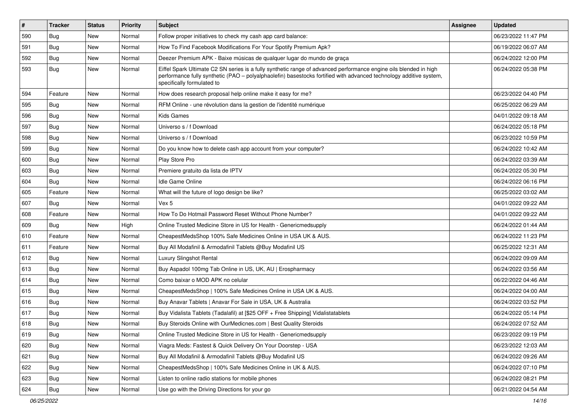| $\vert$ # | <b>Tracker</b> | <b>Status</b> | <b>Priority</b> | <b>Subject</b>                                                                                                                                                                                                                                                        | <b>Assignee</b> | <b>Updated</b>      |
|-----------|----------------|---------------|-----------------|-----------------------------------------------------------------------------------------------------------------------------------------------------------------------------------------------------------------------------------------------------------------------|-----------------|---------------------|
| 590       | <b>Bug</b>     | New           | Normal          | Follow proper initiatives to check my cash app card balance:                                                                                                                                                                                                          |                 | 06/23/2022 11:47 PM |
| 591       | Bug            | <b>New</b>    | Normal          | How To Find Facebook Modifications For Your Spotify Premium Apk?                                                                                                                                                                                                      |                 | 06/19/2022 06:07 AM |
| 592       | Bug            | <b>New</b>    | Normal          | Deezer Premium APK - Baixe músicas de qualquer lugar do mundo de graça                                                                                                                                                                                                |                 | 06/24/2022 12:00 PM |
| 593       | <b>Bug</b>     | New           | Normal          | Eiffel Spark Ultimate C2 SN series is a fully synthetic range of advanced performance engine oils blended in high<br>performance fully synthetic (PAO - polyalphaolefin) basestocks fortified with advanced technology additive system,<br>specifically formulated to |                 | 06/24/2022 05:38 PM |
| 594       | Feature        | <b>New</b>    | Normal          | How does research proposal help online make it easy for me?                                                                                                                                                                                                           |                 | 06/23/2022 04:40 PM |
| 595       | <b>Bug</b>     | <b>New</b>    | Normal          | RFM Online - une révolution dans la gestion de l'identité numérique                                                                                                                                                                                                   |                 | 06/25/2022 06:29 AM |
| 596       | <b>Bug</b>     | <b>New</b>    | Normal          | <b>Kids Games</b>                                                                                                                                                                                                                                                     |                 | 04/01/2022 09:18 AM |
| 597       | Bug            | <b>New</b>    | Normal          | Universo s / f Download                                                                                                                                                                                                                                               |                 | 06/24/2022 05:18 PM |
| 598       | <b>Bug</b>     | <b>New</b>    | Normal          | Universo s / f Download                                                                                                                                                                                                                                               |                 | 06/23/2022 10:59 PM |
| 599       | Bug            | New           | Normal          | Do you know how to delete cash app account from your computer?                                                                                                                                                                                                        |                 | 06/24/2022 10:42 AM |
| 600       | Bug            | <b>New</b>    | Normal          | Play Store Pro                                                                                                                                                                                                                                                        |                 | 06/24/2022 03:39 AM |
| 603       | <b>Bug</b>     | <b>New</b>    | Normal          | Premiere gratuito da lista de IPTV                                                                                                                                                                                                                                    |                 | 06/24/2022 05:30 PM |
| 604       | Bug            | <b>New</b>    | Normal          | Idle Game Online                                                                                                                                                                                                                                                      |                 | 06/24/2022 06:16 PM |
| 605       | Feature        | <b>New</b>    | Normal          | What will the future of logo design be like?                                                                                                                                                                                                                          |                 | 06/25/2022 03:02 AM |
| 607       | Bug            | <b>New</b>    | Normal          | Vex 5                                                                                                                                                                                                                                                                 |                 | 04/01/2022 09:22 AM |
| 608       | Feature        | New           | Normal          | How To Do Hotmail Password Reset Without Phone Number?                                                                                                                                                                                                                |                 | 04/01/2022 09:22 AM |
| 609       | Bug            | New           | High            | Online Trusted Medicine Store in US for Health - Genericmedsupply                                                                                                                                                                                                     |                 | 06/24/2022 01:44 AM |
| 610       | Feature        | <b>New</b>    | Normal          | CheapestMedsShop 100% Safe Medicines Online in USA UK & AUS.                                                                                                                                                                                                          |                 | 06/24/2022 11:23 PM |
| 611       | Feature        | New           | Normal          | Buy All Modafinil & Armodafinil Tablets @Buy Modafinil US                                                                                                                                                                                                             |                 | 06/25/2022 12:31 AM |
| 612       | <b>Bug</b>     | <b>New</b>    | Normal          | Luxury Slingshot Rental                                                                                                                                                                                                                                               |                 | 06/24/2022 09:09 AM |
| 613       | Bug            | <b>New</b>    | Normal          | Buy Aspadol 100mg Tab Online in US, UK, AU   Erospharmacy                                                                                                                                                                                                             |                 | 06/24/2022 03:56 AM |
| 614       | Bug            | New           | Normal          | Como baixar o MOD APK no celular                                                                                                                                                                                                                                      |                 | 06/22/2022 04:46 AM |
| 615       | <b>Bug</b>     | New           | Normal          | CheapestMedsShop   100% Safe Medicines Online in USA UK & AUS.                                                                                                                                                                                                        |                 | 06/24/2022 04:00 AM |
| 616       | Bug            | <b>New</b>    | Normal          | Buy Anavar Tablets   Anavar For Sale in USA, UK & Australia                                                                                                                                                                                                           |                 | 06/24/2022 03:52 PM |
| 617       | <b>Bug</b>     | <b>New</b>    | Normal          | Buy Vidalista Tablets (Tadalafil) at [\$25 OFF + Free Shipping] Vidalistatablets                                                                                                                                                                                      |                 | 06/24/2022 05:14 PM |
| 618       | Bug            | <b>New</b>    | Normal          | Buy Steroids Online with OurMedicnes.com   Best Quality Steroids                                                                                                                                                                                                      |                 | 06/24/2022 07:52 AM |
| 619       | <b>Bug</b>     | New           | Normal          | Online Trusted Medicine Store in US for Health - Genericmedsupply                                                                                                                                                                                                     |                 | 06/23/2022 09:19 PM |
| 620       | <b>Bug</b>     | New           | Normal          | Viagra Meds: Fastest & Quick Delivery On Your Doorstep - USA                                                                                                                                                                                                          |                 | 06/23/2022 12:03 AM |
| 621       | <b>Bug</b>     | New           | Normal          | Buy All Modafinil & Armodafinil Tablets @Buy Modafinil US                                                                                                                                                                                                             |                 | 06/24/2022 09:26 AM |
| 622       | Bug            | New           | Normal          | CheapestMedsShop   100% Safe Medicines Online in UK & AUS.                                                                                                                                                                                                            |                 | 06/24/2022 07:10 PM |
| 623       | <b>Bug</b>     | New           | Normal          | Listen to online radio stations for mobile phones                                                                                                                                                                                                                     |                 | 06/24/2022 08:21 PM |
| 624       | Bug            | New           | Normal          | Use go with the Driving Directions for your go                                                                                                                                                                                                                        |                 | 06/21/2022 04:54 AM |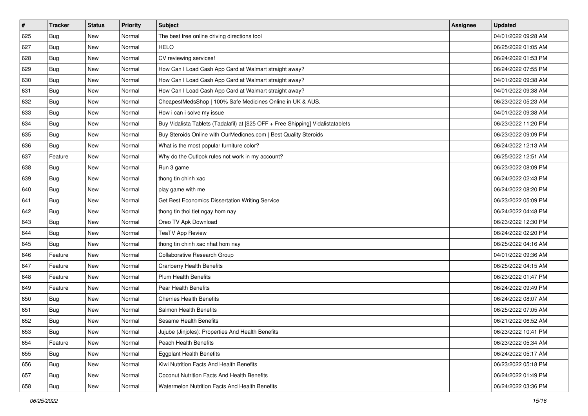| $\vert$ # | <b>Tracker</b> | <b>Status</b> | <b>Priority</b> | Subject                                                                          | <b>Assignee</b> | <b>Updated</b>      |
|-----------|----------------|---------------|-----------------|----------------------------------------------------------------------------------|-----------------|---------------------|
| 625       | <b>Bug</b>     | New           | Normal          | The best free online driving directions tool                                     |                 | 04/01/2022 09:28 AM |
| 627       | Bug            | New           | Normal          | <b>HELO</b>                                                                      |                 | 06/25/2022 01:05 AM |
| 628       | Bug            | New           | Normal          | CV reviewing services!                                                           |                 | 06/24/2022 01:53 PM |
| 629       | Bug            | New           | Normal          | How Can I Load Cash App Card at Walmart straight away?                           |                 | 06/24/2022 07:55 PM |
| 630       | <b>Bug</b>     | <b>New</b>    | Normal          | How Can I Load Cash App Card at Walmart straight away?                           |                 | 04/01/2022 09:38 AM |
| 631       | Bug            | New           | Normal          | How Can I Load Cash App Card at Walmart straight away?                           |                 | 04/01/2022 09:38 AM |
| 632       | Bug            | New           | Normal          | CheapestMedsShop   100% Safe Medicines Online in UK & AUS.                       |                 | 06/23/2022 05:23 AM |
| 633       | Bug            | <b>New</b>    | Normal          | How i can i solve my issue                                                       |                 | 04/01/2022 09:38 AM |
| 634       | Bug            | <b>New</b>    | Normal          | Buy Vidalista Tablets (Tadalafil) at [\$25 OFF + Free Shipping] Vidalistatablets |                 | 06/23/2022 11:20 PM |
| 635       | <b>Bug</b>     | <b>New</b>    | Normal          | Buy Steroids Online with OurMedicnes.com   Best Quality Steroids                 |                 | 06/23/2022 09:09 PM |
| 636       | Bug            | New           | Normal          | What is the most popular furniture color?                                        |                 | 06/24/2022 12:13 AM |
| 637       | Feature        | New           | Normal          | Why do the Outlook rules not work in my account?                                 |                 | 06/25/2022 12:51 AM |
| 638       | Bug            | <b>New</b>    | Normal          | Run 3 game                                                                       |                 | 06/23/2022 08:09 PM |
| 639       | Bug            | <b>New</b>    | Normal          | thong tin chinh xac                                                              |                 | 06/24/2022 02:43 PM |
| 640       | <b>Bug</b>     | New           | Normal          | play game with me                                                                |                 | 06/24/2022 08:20 PM |
| 641       | Bug            | New           | Normal          | Get Best Economics Dissertation Writing Service                                  |                 | 06/23/2022 05:09 PM |
| 642       | Bug            | New           | Normal          | thong tin thoi tiet ngay hom nay                                                 |                 | 06/24/2022 04:48 PM |
| 643       | Bug            | <b>New</b>    | Normal          | Oreo TV Apk Download                                                             |                 | 06/23/2022 12:30 PM |
| 644       | <b>Bug</b>     | New           | Normal          | <b>TeaTV App Review</b>                                                          |                 | 06/24/2022 02:20 PM |
| 645       | <b>Bug</b>     | <b>New</b>    | Normal          | thong tin chinh xac nhat hom nay                                                 |                 | 06/25/2022 04:16 AM |
| 646       | Feature        | <b>New</b>    | Normal          | Collaborative Research Group                                                     |                 | 04/01/2022 09:36 AM |
| 647       | Feature        | <b>New</b>    | Normal          | <b>Cranberry Health Benefits</b>                                                 |                 | 06/25/2022 04:15 AM |
| 648       | Feature        | <b>New</b>    | Normal          | Plum Health Benefits                                                             |                 | 06/23/2022 01:47 PM |
| 649       | Feature        | New           | Normal          | Pear Health Benefits                                                             |                 | 06/24/2022 09:49 PM |
| 650       | Bug            | New           | Normal          | <b>Cherries Health Benefits</b>                                                  |                 | 06/24/2022 08:07 AM |
| 651       | <b>Bug</b>     | <b>New</b>    | Normal          | <b>Salmon Health Benefits</b>                                                    |                 | 06/25/2022 07:05 AM |
| 652       | <b>Bug</b>     | New           | Normal          | <b>Sesame Health Benefits</b>                                                    |                 | 06/21/2022 06:52 AM |
| 653       | <b>Bug</b>     | New           | Normal          | Jujube (Jinjoles): Properties And Health Benefits                                |                 | 06/23/2022 10:41 PM |
| 654       | Feature        | New           | Normal          | Peach Health Benefits                                                            |                 | 06/23/2022 05:34 AM |
| 655       | Bug            | New           | Normal          | <b>Eggplant Health Benefits</b>                                                  |                 | 06/24/2022 05:17 AM |
| 656       | Bug            | New           | Normal          | Kiwi Nutrition Facts And Health Benefits                                         |                 | 06/23/2022 05:18 PM |
| 657       | <b>Bug</b>     | New           | Normal          | Coconut Nutrition Facts And Health Benefits                                      |                 | 06/24/2022 01:49 PM |
| 658       | Bug            | New           | Normal          | Watermelon Nutrition Facts And Health Benefits                                   |                 | 06/24/2022 03:36 PM |